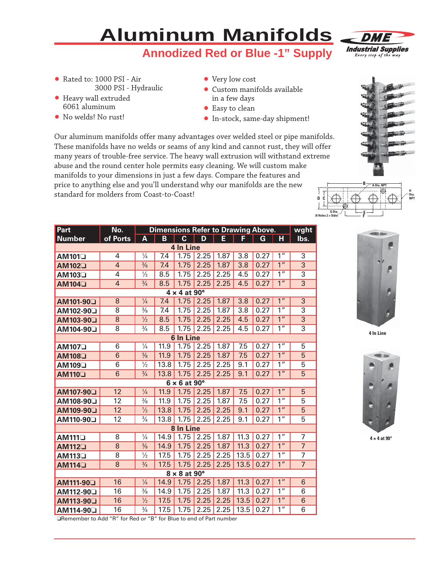#### **Annodized Red or Blue -1" Supply Aluminum Manifolds**



- **t** Rated to: 1000 PSI Air 3000 PSI - Hydraulic
- **t** Heavy wall extruded 6061 aluminum
- **t** No welds! No rust!
- **t** Very low cost
- **t** Custom manifolds available in a few days
- **t** Easy to clean
- **t** In-stock, same-day shipment!

Our aluminum manifolds offer many advantages over welded steel or pipe manifolds. These manifolds have no welds or seams of any kind and cannot rust, they will offer many years of trouble-free service. The heavy wall extrusion will withstand extreme abuse and the round center hole permits easy cleaning. We will custom make manifolds to your dimensions in just a few days. Compare the features and price to anything else and you'll understand why our manifolds are the new standard for molders from Coast-to-Coast!

| Part                       | No.            | <b>Dimensions Refer to Drawing Above.</b> |      |              |      |      | wght |      |                         |                |
|----------------------------|----------------|-------------------------------------------|------|--------------|------|------|------|------|-------------------------|----------------|
| <b>Number</b>              | of Ports       | A                                         | B    | $\mathbf{C}$ | D    | Ē.   | Ē    | G    | $\overline{\mathsf{H}}$ | lbs.           |
| 4 In Line                  |                |                                           |      |              |      |      |      |      |                         |                |
| AM101 <sup>1</sup>         | 4              | $\frac{1}{4}$                             | 7.4  | 1.75         | 2.25 | 1.87 | 3.8  | 0.27 | 1 <sup>''</sup>         | 3              |
| AM102 <sup>-</sup>         | $\overline{4}$ | $\frac{3}{8}$                             | 7.4  | 1.75         | 2.25 | 1.87 | 3.8  | 0.27 | 1 <sup>n</sup>          | 3              |
| AM103 <sup>-</sup>         | 4              | $\frac{1}{2}$                             | 8.5  | 1.75         | 2.25 | 2.25 | 4.5  | 0.27 | 1 <sup>''</sup>         | 3              |
| AM104 <sup>D</sup>         | 4              | $\frac{3}{4}$                             | 8.5  | 1.75         | 2.25 | 2.25 | 4.5  | 0.27 | 1 <sup>''</sup>         | 3              |
| $4 \times 4$ at $90^\circ$ |                |                                           |      |              |      |      |      |      |                         |                |
| AM101-90 <sup>-</sup>      | 8              | $\frac{1}{4}$                             | 7.4  | 1.75         | 2.25 | 1.87 | 3.8  | 0.27 | 1 <sup>n</sup>          | 3              |
| AM102-90 <sup>1</sup>      | 8              | $\frac{3}{8}$                             | 7.4  | 1.75         | 2.25 | 1.87 | 3.8  | 0.27 | $\overline{1}$ "        | $\overline{3}$ |
| AM103-90 <sup>-</sup>      | $\overline{8}$ | $\frac{1}{2}$                             | 8.5  | 1.75         | 2.25 | 2.25 | 4.5  | 0.27 | 1 <sup>n</sup>          | $\overline{3}$ |
| AM104-90 <sup>1</sup>      | 8              | $\frac{3}{4}$                             | 8.5  | 1.75         | 2.25 | 2.25 | 4.5  | 0.27 | 1 <sup>''</sup>         | 3              |
| <b>6 In Line</b>           |                |                                           |      |              |      |      |      |      |                         |                |
| AM107 <sup>1</sup>         | 6              | $\frac{1}{4}$                             | 11.9 | 1.75         | 2.25 | 1.87 | 7.5  | 0.27 | $\overline{1''}$        | 5              |
| AM108 <sup>1</sup>         | 6              | $\frac{3}{8}$                             | 11.9 | 1.75         | 2.25 | 1.87 | 7.5  | 0.27 | 1 <sup>''</sup>         | 5              |
| AM109 <sup>1</sup>         | 6              | $\frac{1}{2}$                             | 13.8 | 1.75         | 2.25 | 2.25 | 9.1  | 0.27 | 1 <sup>''</sup>         | 5              |
| AM110 <sup>1</sup>         | $\overline{6}$ | $\frac{3}{4}$                             | 13.8 | 1.75         | 2.25 | 2.25 | 9.1  | 0.27 | 1 <sup>''</sup>         | $\overline{5}$ |
| $6 \times 6$ at $90^\circ$ |                |                                           |      |              |      |      |      |      |                         |                |
| AM107-90 <sup>1</sup>      | 12             | $\frac{1}{4}$                             | 11.9 | 1.75         | 2.25 | 1.87 | 7.5  | 0.27 | 1 <sup>''</sup>         | 5              |
| AM108-90 <sup>1</sup>      | 12             | $\frac{3}{8}$                             | 11.9 | 1.75         | 2.25 | 1.87 | 7.5  | 0.27 | 1 <sup>''</sup>         | 5              |
| AM109-90 <sup>1</sup>      | 12             | $\frac{1}{2}$                             | 13.8 | 1.75         | 2.25 | 2.25 | 9.1  | 0.27 | 1 <sup>''</sup>         | 5              |
| AM110-90 <sup>1</sup>      | 12             | $\frac{3}{4}$                             | 13.8 | 1.75         | 2.25 | 2.25 | 9.1  | 0.27 | 1 <sup>''</sup>         | 5              |
| 8 In Line                  |                |                                           |      |              |      |      |      |      |                         |                |
| AM111 <sup>1</sup>         | 8              | $\frac{1}{4}$                             | 14.9 | 1.75         | 2.25 | 1.87 | 11.3 | 0.27 | 1 <sup>n</sup>          | 7              |
| $AM112\Box$                | 8              | $\frac{3}{8}$                             | 14.9 | 1.75         | 2.25 | 1.87 | 11.3 | 0.27 | 1 <sup>''</sup>         | $\overline{7}$ |
| AM113 <sup></sup>          | 8              | $\frac{1}{2}$                             | 17.5 | 1.75         | 2.25 | 2.25 | 13.5 | 0.27 | $\overline{1}$ "        | $\overline{7}$ |
| $AM114\Box$                | 8              | $\frac{3}{4}$                             | 17.5 | 1.75         | 2.25 | 2.25 | 13.5 | 0.27 | 1 <sup>''</sup>         | $\overline{7}$ |
| 8 x 8 at 90°               |                |                                           |      |              |      |      |      |      |                         |                |
| AM111-90 <sup>-</sup>      | 16             | $\frac{1}{4}$                             | 14.9 | 1.75         | 2.25 | 1.87 | 11.3 | 0.27 | 1 <sup>n</sup>          | 6              |
| AM112-90 <sup>-</sup>      | 16             | $\frac{3}{8}$                             | 14.9 | 1.75         | 2.25 | 1.87 | 11.3 | 0.27 | $\overline{1}$ "        | 6              |
| AM113-90 <sup>1</sup>      | 16             | $\frac{1}{2}$                             | 17.5 | 1.75         | 2.25 | 2.25 | 13.5 | 0.27 | 1 <sup>n</sup>          | 6              |
| AM114-90 <sup>-</sup>      | 16             | $\frac{3}{4}$                             | 17.5 | 1.75         | 2.25 | 2.25 | 13.5 | 0.27 | 1 <sup>''</sup>         | $\overline{6}$ |







**4 In Line**



**4 × 4 at 90°**

❏Remember to Add "R" for Red or "B" for Blue to end of Part number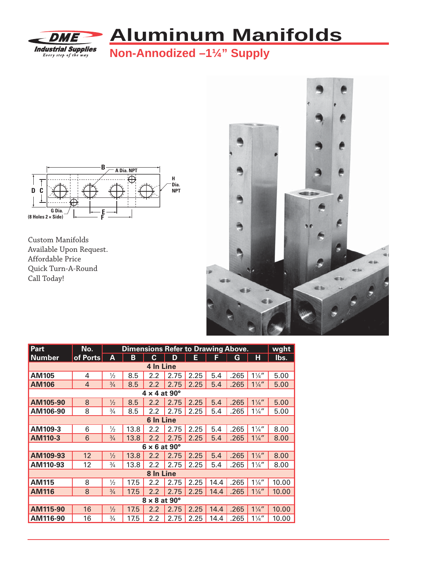

### **Aluminum Manifolds**

**Non-Annodized –1¼" Supply**



Custom Manifolds Available Upon Request. Affordable Price Quick Turn-A-Round Call Today!



| Part                          | No.            | <b>Dimensions Refer to Drawing Above.</b> |      |           |      |      |      | wght |                |       |
|-------------------------------|----------------|-------------------------------------------|------|-----------|------|------|------|------|----------------|-------|
| <b>Number</b>                 | of Ports       | Α                                         | B    | C.        | D    | E    | F    | G    | н              | lbs.  |
|                               |                |                                           |      | 4 In Line |      |      |      |      |                |       |
| <b>AM105</b>                  | 4              | $\frac{1}{2}$                             | 8.5  | 2.2       | 2.75 | 2.25 | 5.4  | .265 | $1\frac{1}{4}$ | 5.00  |
| <b>AM106</b>                  | $\overline{4}$ | $\frac{3}{4}$                             | 8.5  | 2.2       | 2.75 | 2.25 | 5.4  | .265 | $1\frac{1}{4}$ | 5.00  |
| $4 \times 4$ at 90 $^{\circ}$ |                |                                           |      |           |      |      |      |      |                |       |
| AM105-90                      | 8              | $\frac{1}{2}$                             | 8.5  | 2.2       | 2.75 | 2.25 | 5.4  | .265 | $1\frac{1}{4}$ | 5.00  |
| AM106-90                      | 8              | $\frac{3}{4}$                             | 8.5  | 2.2       | 2.75 | 2.25 | 5.4  | .265 | $1\frac{1}{4}$ | 5.00  |
| 6 In Line                     |                |                                           |      |           |      |      |      |      |                |       |
| AM109-3                       | 6              | $\frac{1}{2}$                             | 13.8 | 2.2       | 2.75 | 2.25 | 5.4  | .265 | $1\frac{1}{4}$ | 8.00  |
| AM110-3                       | 6              | $\frac{3}{4}$                             | 13.8 | 2.2       | 2.75 | 2.25 | 5.4  | .265 | $1\frac{1}{4}$ | 8.00  |
| $6 \times 6$ at 90 $^{\circ}$ |                |                                           |      |           |      |      |      |      |                |       |
| AM109-93                      | 12             | $\frac{1}{2}$                             | 13.8 | 2.2       | 2.75 | 2.25 | 5.4  | .265 | $1\frac{1}{4}$ | 8.00  |
| AM110-93                      | 12             | $\frac{3}{4}$                             | 13.8 | 2.2       | 2.75 | 2.25 | 5.4  | .265 | $1\frac{1}{4}$ | 8.00  |
| 8 In Line                     |                |                                           |      |           |      |      |      |      |                |       |
| <b>AM115</b>                  | 8              | $\frac{1}{2}$                             | 17.5 | 2.2       | 2.75 | 2.25 | 14.4 | .265 | $1\frac{1}{4}$ | 10.00 |
| <b>AM116</b>                  | 8              | $\frac{3}{4}$                             | 17.5 | 2.2       | 2.75 | 2.25 | 14.4 | .265 | $1\frac{1}{4}$ | 10.00 |
| $8 \times 8$ at $90^\circ$    |                |                                           |      |           |      |      |      |      |                |       |
| AM115-90                      | 16             | $\frac{1}{2}$                             | 17.5 | 2.2       | 2.75 | 2.25 | 14.4 | .265 | $1\frac{1}{4}$ | 10.00 |
| AM116-90                      | 16             | $\frac{3}{4}$                             | 17.5 | 2.2       | 2.75 | 2.25 | 14.4 | .265 | $1\frac{1}{4}$ | 10.00 |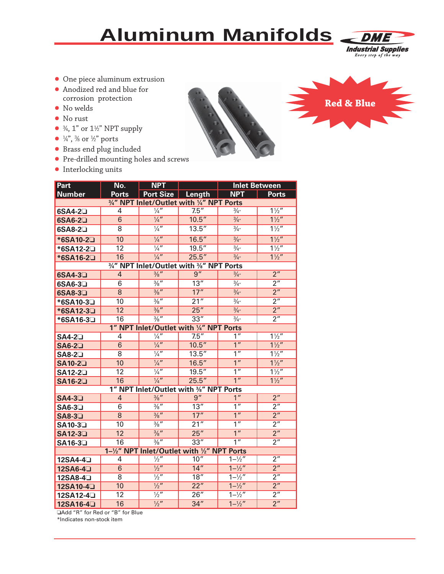# **Aluminum Manifolds**



- **•** One piece aluminum extrusion
- **•** Anodized red and blue for corrosion protection
- **t** No welds
- **t** No rust
- $\bullet$  <sup>3</sup>/<sub>4</sub>, 1" or 1<sup>1</sup>/<sub>2</sub>" NPT supply
- $\frac{1}{4}$ ,  $\frac{3}{8}$  or  $\frac{1}{2}$  ports
- **t** Brass end plug included
- **t** Pre-drilled mounting holes and screws
- **•** Interlocking units



| Part                                               | No.             | <b>NPT</b>                                | <b>Inlet Between</b>      |                     |                  |  |  |
|----------------------------------------------------|-----------------|-------------------------------------------|---------------------------|---------------------|------------------|--|--|
| <b>Number</b>                                      | <b>Ports</b>    | Port Size Length                          |                           | <b>NPT</b>          | <b>Ports</b>     |  |  |
| 3/4" NPT Inlet/Outlet with 1/4" NPT Ports          |                 |                                           |                           |                     |                  |  |  |
| 6SA4-2 <sup>1</sup>                                | 4               | $\frac{1}{4}$                             | 7.5''                     | $\frac{3}{4}$ "     | $1\frac{1}{2}$   |  |  |
| $6SAG-2\square$                                    | $\overline{6}$  | $\frac{1}{4}$                             | 10.5''                    | $\frac{3}{4}$       | $1\frac{1}{2}$   |  |  |
| 6SA8-2 <b>□</b>                                    | 8               | $\frac{1}{4}$                             | 13.5''                    | $\frac{3}{4}$       | $1\frac{1}{2}$   |  |  |
| *6SA10-2 <sup>1</sup>                              | 10              | $\frac{1}{4}$                             | 16.5''                    | $\frac{3}{4}$       | $1\frac{1}{2}$   |  |  |
| *6SA12-2 <sup>1</sup>                              | $\overline{12}$ | $\frac{1}{4}$                             | 19.5''                    | $\frac{3}{4}$       | $1\frac{1}{2}$   |  |  |
| *6SA16-2 <sup>1</sup>                              | 16              | $\frac{1}{4}$                             | 25.5''                    | $\frac{3}{4}$       | $1\frac{1}{2}$   |  |  |
|                                                    |                 | 3/4" NPT Inlet/Outlet with 3/8" NPT Ports |                           |                     |                  |  |  |
| 6SA4-3 <sup>1</sup>                                | $\overline{4}$  | $\frac{3}{8}$ "                           | $\overline{9''}$          | $\frac{3}{4}$       | 2 <sup>n</sup>   |  |  |
| $6SAG-3$                                           | 6               | $\frac{3}{8}$ "                           | 13''                      | $\frac{3}{4}$ "     | 2 <sup>n</sup>   |  |  |
| $6SAB-3$                                           | 8               | $\frac{3}{8}$ "                           | 17"                       | $\frac{3}{4}$ "     | 2 <sup>n</sup>   |  |  |
| *6SA10-3 <sup></sup>                               | 10              | $\frac{3}{8}$ "                           | 21"                       | $\frac{3}{4}$ "     | 2 <sup>''</sup>  |  |  |
| *6SA12-3 <sup></sup>                               | $\overline{12}$ | $\frac{3}{8}$ "                           | 25''                      | $\frac{3}{4}$ "     | 2 <sup>n</sup>   |  |  |
| *6SA16-3 <sup></sup>                               | 16              | $\frac{3}{8}$ "                           | 33"                       | $\frac{3}{4}$ "     | 2 <sup>n</sup>   |  |  |
| 1" NPT Inlet/Outlet with 1/4" NPT Ports            |                 |                                           |                           |                     |                  |  |  |
| SA4-2 <sup>1</sup>                                 | 4               | $\frac{1}{4}$                             | 7.5''                     | $\overline{1''}$    | $1\frac{1}{2}$   |  |  |
| $SA6-2\square$                                     | $\overline{6}$  | $\frac{1}{4}$                             | 10.5''                    | $\overline{1''}$    | $1\frac{1}{2}$   |  |  |
| $SA8-2\square$                                     | 8               | $\frac{1}{4}$                             | 13.5''<br>1 <sup>''</sup> |                     | $1\frac{1}{2}$   |  |  |
| <b>SA10-2</b>                                      | 10              | $\frac{1}{4}$                             | 16.5''                    | 1 <sup>''</sup>     | $1\frac{1}{2}$   |  |  |
| SA12-2 <del>□</del>                                | 12              | $\frac{1}{4}$                             | 19.5''                    | 1 <sup>''</sup>     | $1\frac{1}{2}$   |  |  |
| SA16-2 <sup>1</sup>                                | 16              | $\frac{1}{4}$                             | 25.5''                    | 1 <sup>''</sup>     | $1\frac{1}{2}$   |  |  |
| 1" NPT Inlet/Outlet with <sup>3/8"</sup> NPT Ports |                 |                                           |                           |                     |                  |  |  |
| $SA4-3$                                            | 4               | $\frac{3}{8}$ "                           | 9''                       | 1 <sup>''</sup>     | 2 <sup>n</sup>   |  |  |
| $SA6-3$                                            | 6               | $\frac{3}{8}$ "                           | 13''                      | 1 <sup>''</sup>     | 2 <sup>n</sup>   |  |  |
| $SA8-3$                                            | $\overline{8}$  | $\frac{3}{8}$ "                           | 17"                       | 1 <sup>''</sup>     | $\overline{2''}$ |  |  |
| SA10-3 <sup>-</sup>                                | 10              | $\frac{3}{8}$ "                           | 21"                       | $\overline{1''}$    | 2 <sup>n</sup>   |  |  |
| SA12-3 <sup></sup>                                 | 12              | $\frac{3}{8}$ "                           | 25"                       | 1 <sup>''</sup>     | 2 <sup>n</sup>   |  |  |
| SA16-3□                                            | 16              | $\frac{3}{8}$ "                           | 33''                      | 1 <sup>''</sup>     | 2 <sup>''</sup>  |  |  |
| 1-1/2" NPT Inlet/Outlet with 1/2" NPT Ports        |                 |                                           |                           |                     |                  |  |  |
| 12SA4-4 <sup>1</sup>                               | 4               | $\frac{1}{2}$                             | 10''                      | $1 - \sqrt{2''}$    | 2 <sup>''</sup>  |  |  |
| 12SA6-4 <sup>D</sup>                               | 6               | $\frac{1}{2}$                             | 14"                       | $1 - \frac{1}{2}$   | 2 <sup>n</sup>   |  |  |
| 12SA8-4 <sup>1</sup>                               | 8               | $\frac{1}{2}$                             | 18"                       | $1 - \frac{1}{2}$   | 2 <sup>n</sup>   |  |  |
| 12SA10-4 <sup>-</sup>                              | 10              | $\frac{1}{2}$                             | 22"                       | $1 - \frac{1}{2}$   | 2 <sup>n</sup>   |  |  |
| 12SA12-4 <sup>-</sup>                              | 12              | $\frac{1}{2}$ "                           | 26''                      | $1 - \frac{1}{2}$ " | 2 <sup>n</sup>   |  |  |
| 12SA16-4 <sup>1</sup>                              | 16              | $\frac{1}{2}$                             | 34''                      | $1 - \frac{1}{2}$   | 2 <sup>n</sup>   |  |  |

❏Add "R" for Red or "B" for Blue

\*Indicates non-stock item